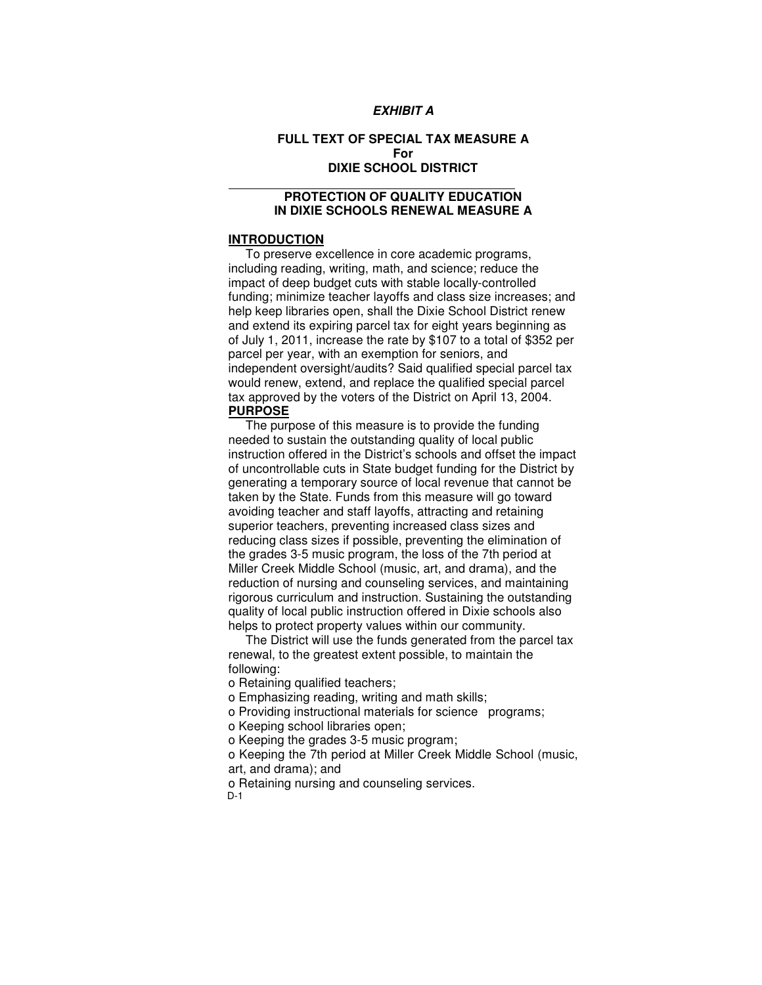## **EXHIBIT A**

# **FULL TEXT OF SPECIAL TAX MEASURE A For DIXIE SCHOOL DISTRICT**

# **PROTECTION OF QUALITY EDUCATION IN DIXIE SCHOOLS RENEWAL MEASURE A**

#### **INTRODUCTION**

 $\ddot{\phantom{a}}$ 

 To preserve excellence in core academic programs, including reading, writing, math, and science; reduce the impact of deep budget cuts with stable locally-controlled funding; minimize teacher layoffs and class size increases; and help keep libraries open, shall the Dixie School District renew and extend its expiring parcel tax for eight years beginning as of July 1, 2011, increase the rate by \$107 to a total of \$352 per parcel per year, with an exemption for seniors, and independent oversight/audits? Said qualified special parcel tax would renew, extend, and replace the qualified special parcel tax approved by the voters of the District on April 13, 2004. **PURPOSE**

 The purpose of this measure is to provide the funding needed to sustain the outstanding quality of local public instruction offered in the District's schools and offset the impact of uncontrollable cuts in State budget funding for the District by generating a temporary source of local revenue that cannot be taken by the State. Funds from this measure will go toward avoiding teacher and staff layoffs, attracting and retaining superior teachers, preventing increased class sizes and reducing class sizes if possible, preventing the elimination of the grades 3-5 music program, the loss of the 7th period at Miller Creek Middle School (music, art, and drama), and the reduction of nursing and counseling services, and maintaining rigorous curriculum and instruction. Sustaining the outstanding quality of local public instruction offered in Dixie schools also helps to protect property values within our community.

 The District will use the funds generated from the parcel tax renewal, to the greatest extent possible, to maintain the following:

o Retaining qualified teachers;

o Emphasizing reading, writing and math skills;

o Providing instructional materials for science programs;

o Keeping school libraries open;

o Keeping the grades 3-5 music program;

 o Keeping the 7th period at Miller Creek Middle School (music, art, and drama); and

o Retaining nursing and counseling services.

D-1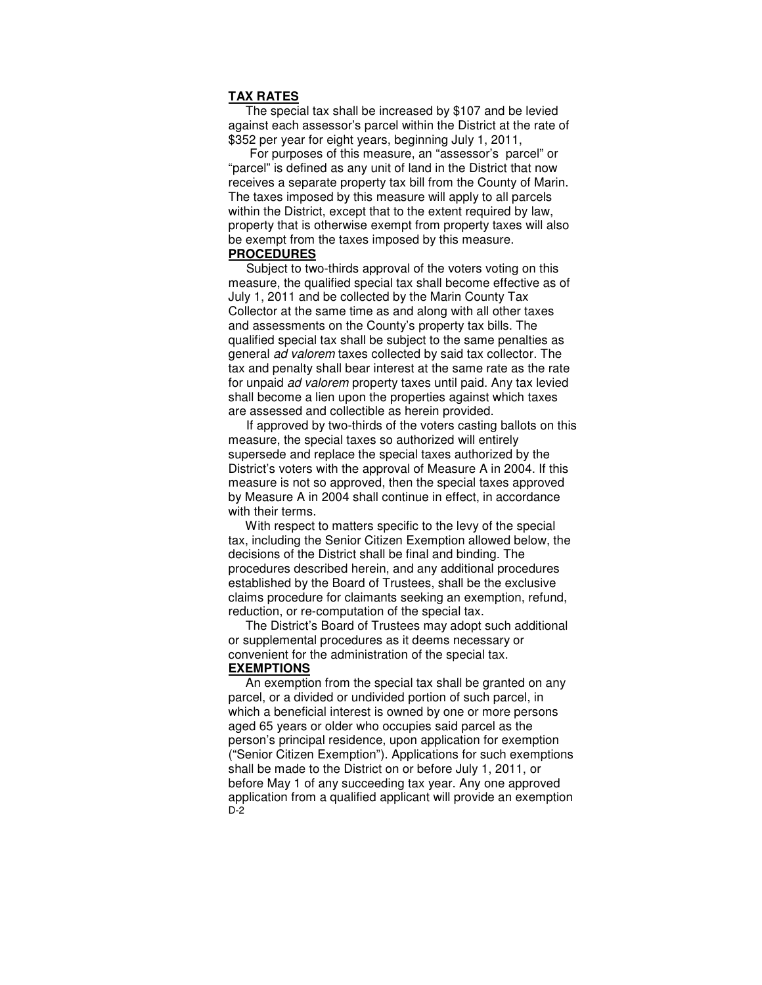### **TAX RATES**

 The special tax shall be increased by \$107 and be levied against each assessor's parcel within the District at the rate of \$352 per year for eight years, beginning July 1, 2011,

 For purposes of this measure, an "assessor's parcel" or "parcel" is defined as any unit of land in the District that now receives a separate property tax bill from the County of Marin. The taxes imposed by this measure will apply to all parcels within the District, except that to the extent required by law, property that is otherwise exempt from property taxes will also be exempt from the taxes imposed by this measure. **PROCEDURES**

 Subject to two-thirds approval of the voters voting on this measure, the qualified special tax shall become effective as of July 1, 2011 and be collected by the Marin County Tax Collector at the same time as and along with all other taxes and assessments on the County's property tax bills. The qualified special tax shall be subject to the same penalties as general ad valorem taxes collected by said tax collector. The tax and penalty shall bear interest at the same rate as the rate for unpaid ad valorem property taxes until paid. Any tax levied shall become a lien upon the properties against which taxes are assessed and collectible as herein provided.

 If approved by two-thirds of the voters casting ballots on this measure, the special taxes so authorized will entirely supersede and replace the special taxes authorized by the District's voters with the approval of Measure A in 2004. If this measure is not so approved, then the special taxes approved by Measure A in 2004 shall continue in effect, in accordance with their terms.

 With respect to matters specific to the levy of the special tax, including the Senior Citizen Exemption allowed below, the decisions of the District shall be final and binding. The procedures described herein, and any additional procedures established by the Board of Trustees, shall be the exclusive claims procedure for claimants seeking an exemption, refund, reduction, or re-computation of the special tax.

 The District's Board of Trustees may adopt such additional or supplemental procedures as it deems necessary or convenient for the administration of the special tax. **EXEMPTIONS**

 An exemption from the special tax shall be granted on any parcel, or a divided or undivided portion of such parcel, in which a beneficial interest is owned by one or more persons aged 65 years or older who occupies said parcel as the person's principal residence, upon application for exemption ("Senior Citizen Exemption"). Applications for such exemptions shall be made to the District on or before July 1, 2011, or before May 1 of any succeeding tax year. Any one approved application from a qualified applicant will provide an exemption D-2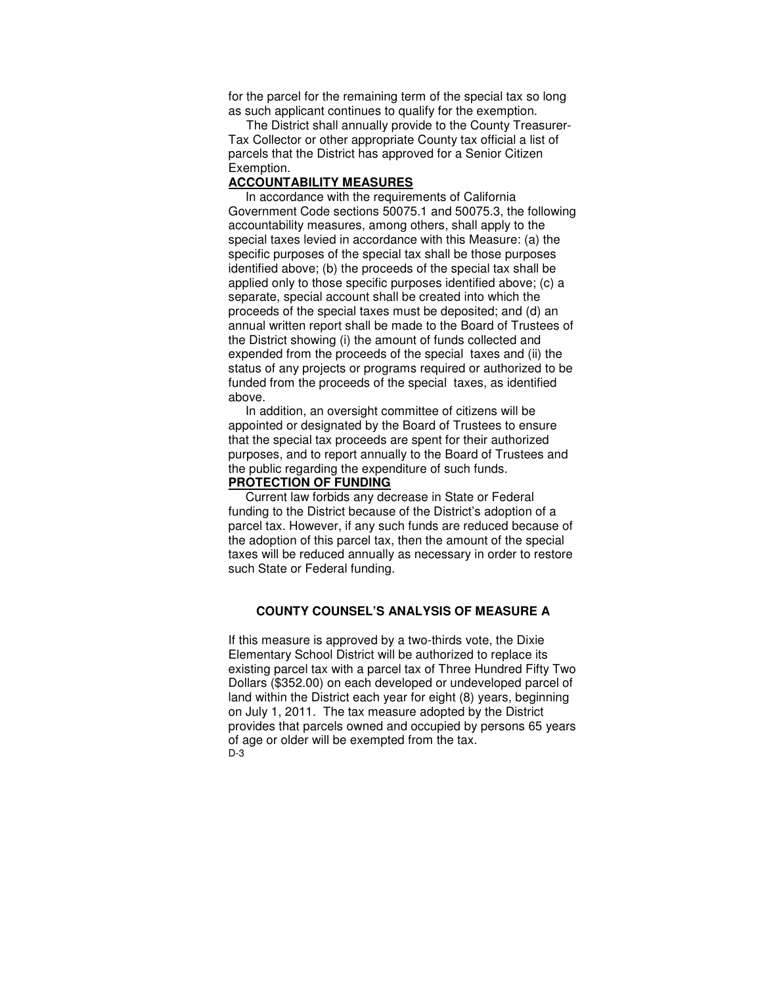for the parcel for the remaining term of the special tax so long as such applicant continues to qualify for the exemption.

 The District shall annually provide to the County Treasurer-Tax Collector or other appropriate County tax official a list of parcels that the District has approved for a Senior Citizen Exemption.

#### **ACCOUNTABILITY MEASURES**

 In accordance with the requirements of California Government Code sections 50075.1 and 50075.3, the following accountability measures, among others, shall apply to the special taxes levied in accordance with this Measure: (a) the specific purposes of the special tax shall be those purposes identified above; (b) the proceeds of the special tax shall be applied only to those specific purposes identified above; (c) a separate, special account shall be created into which the proceeds of the special taxes must be deposited; and (d) an annual written report shall be made to the Board of Trustees of the District showing (i) the amount of funds collected and expended from the proceeds of the special taxes and (ii) the status of any projects or programs required or authorized to be funded from the proceeds of the special taxes, as identified above.

 In addition, an oversight committee of citizens will be appointed or designated by the Board of Trustees to ensure that the special tax proceeds are spent for their authorized purposes, and to report annually to the Board of Trustees and the public regarding the expenditure of such funds.

### **PROTECTION OF FUNDING**

 Current law forbids any decrease in State or Federal funding to the District because of the District's adoption of a parcel tax. However, if any such funds are reduced because of the adoption of this parcel tax, then the amount of the special taxes will be reduced annually as necessary in order to restore such State or Federal funding.

### **COUNTY COUNSEL'S ANALYSIS OF MEASURE A**

If this measure is approved by a two-thirds vote, the Dixie Elementary School District will be authorized to replace its existing parcel tax with a parcel tax of Three Hundred Fifty Two Dollars (\$352.00) on each developed or undeveloped parcel of land within the District each year for eight (8) years, beginning on July 1, 2011. The tax measure adopted by the District provides that parcels owned and occupied by persons 65 years of age or older will be exempted from the tax. D-3